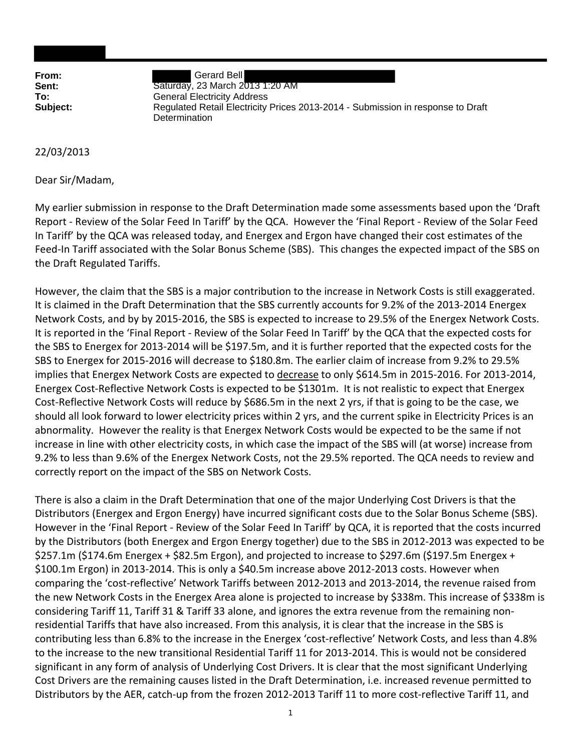**From:** Gerard Bell **Sent:** Saturday, 23 March 2013 1:20 AM **To:** General Electricity Address **Subject:** Regulated Retail Electricity Prices 2013-2014 - Submission in response to Draft **Determination** 

## 22/03/2013

Dear Sir/Madam,

My earlier submission in response to the Draft Determination made some assessments based upon the 'Draft Report ‐ Review of the Solar Feed In Tariff' by the QCA. However the 'Final Report ‐ Review of the Solar Feed In Tariff' by the QCA was released today, and Energex and Ergon have changed their cost estimates of the Feed-In Tariff associated with the Solar Bonus Scheme (SBS). This changes the expected impact of the SBS on the Draft Regulated Tariffs.

However, the claim that the SBS is a major contribution to the increase in Network Costs is still exaggerated. It is claimed in the Draft Determination that the SBS currently accounts for 9.2% of the 2013‐2014 Energex Network Costs, and by by 2015‐2016, the SBS is expected to increase to 29.5% of the Energex Network Costs. It is reported in the 'Final Report ‐ Review of the Solar Feed In Tariff' by the QCA that the expected costs for the SBS to Energex for 2013‐2014 will be \$197.5m, and it is further reported that the expected costs for the SBS to Energex for 2015‐2016 will decrease to \$180.8m. The earlier claim of increase from 9.2% to 29.5% implies that Energex Network Costs are expected to decrease to only \$614.5m in 2015‐2016. For 2013‐2014, Energex Cost‐Reflective Network Costs is expected to be \$1301m. It is not realistic to expect that Energex Cost‐Reflective Network Costs will reduce by \$686.5m in the next 2 yrs, if that is going to be the case, we should all look forward to lower electricity prices within 2 yrs, and the current spike in Electricity Prices is an abnormality. However the reality is that Energex Network Costs would be expected to be the same if not increase in line with other electricity costs, in which case the impact of the SBS will (at worse) increase from 9.2% to less than 9.6% of the Energex Network Costs, not the 29.5% reported. The QCA needs to review and correctly report on the impact of the SBS on Network Costs.

There is also a claim in the Draft Determination that one of the major Underlying Cost Drivers is that the Distributors (Energex and Ergon Energy) have incurred significant costs due to the Solar Bonus Scheme (SBS). However in the 'Final Report ‐ Review of the Solar Feed In Tariff' by QCA, it is reported that the costs incurred by the Distributors (both Energex and Ergon Energy together) due to the SBS in 2012‐2013 was expected to be \$257.1m (\$174.6m Energex + \$82.5m Ergon), and projected to increase to \$297.6m (\$197.5m Energex + \$100.1m Ergon) in 2013-2014. This is only a \$40.5m increase above 2012-2013 costs. However when comparing the 'cost‐reflective' Network Tariffs between 2012‐2013 and 2013‐2014, the revenue raised from the new Network Costs in the Energex Area alone is projected to increase by \$338m. This increase of \$338m is considering Tariff 11, Tariff 31 & Tariff 33 alone, and ignores the extra revenue from the remaining non‐ residential Tariffs that have also increased. From this analysis, it is clear that the increase in the SBS is contributing less than 6.8% to the increase in the Energex 'cost‐reflective' Network Costs, and less than 4.8% to the increase to the new transitional Residential Tariff 11 for 2013‐2014. This is would not be considered significant in any form of analysis of Underlying Cost Drivers. It is clear that the most significant Underlying Cost Drivers are the remaining causes listed in the Draft Determination, i.e. increased revenue permitted to Distributors by the AER, catch‐up from the frozen 2012‐2013 Tariff 11 to more cost‐reflective Tariff 11, and